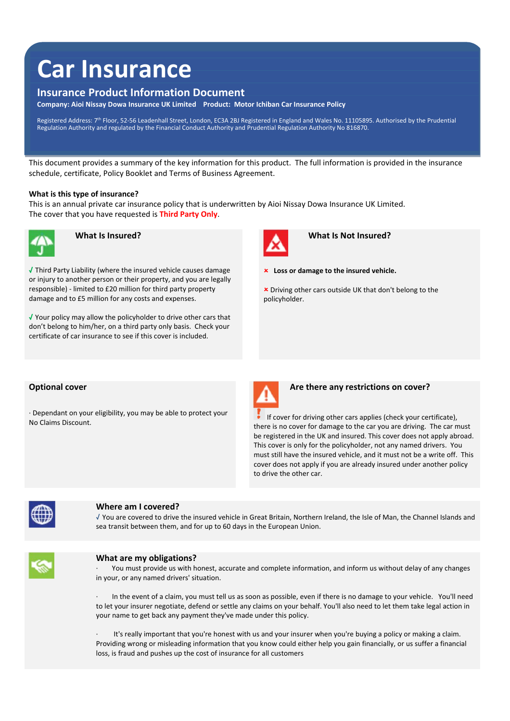# **Car Insurance**

# **Insurance Product Information Document**

**Company: Aioi Nissay Dowa Insurance UK Limited Product: Motor Ichiban Car Insurance Policy**

Registered Address: 7th Floor, 52-56 Leadenhall Street, London, EC3A 2BJ Registered in England and Wales No. 11105895. Authorised by the Prudential<br>Regulation Authority and regulated by the Financial Conduct Authority and

This document provides a summary of the key information for this product. The full information is provided in the insurance schedule, certificate, Policy Booklet and Terms of Business Agreement.

#### **What is this type of insurance?**

This is an annual private car insurance policy that is underwritten by Aioi Nissay Dowa Insurance UK Limited. The cover that you have requested is **Third Party Only**.



√ Third Party Liability (where the insured vehicle causes damage or injury to another person or their property, and you are legally responsible) ‐ limited to £20 million for third party property damage and to £5 million for any costs and expenses.

√ Your policy may allow the policyholder to drive other cars that don't belong to him/her, on a third party only basis. Check your certificate of car insurance to see if this cover is included.



 **What Is Insured? What Is Not Insured?**

- **Loss or damage to the insured vehicle.**
- Driving other cars outside UK that don't belong to the policyholder.

∙ Dependant on your eligibility, you may be able to protect your



**Optional cover <b>A A A Are there any restrictions on cover?** 

Propertion of your enginity, you may be able to protect your **the section of the set of driving other cars applies (check your certificate),**<br>No Claims Discount. there is no cover for damage to the car you are driving. The car must be registered in the UK and insured. This cover does not apply abroad. This cover is only for the policyholder, not any named drivers. You must still have the insured vehicle, and it must not be a write off. This cover does not apply if you are already insured under another policy to drive the other car.



### **Where am I covered?**

√ You are covered to drive the insured vehicle in Great Britain, Northern Ireland, the Isle of Man, the Channel Islands and sea transit between them, and for up to 60 days in the European Union.



#### **What are my obligations?**

∙ You must provide us with honest, accurate and complete information, and inform us without delay of any changes in your, or any named drivers' situation.

∙ In the event of a claim, you must tell us as soon as possible, even if there is no damage to your vehicle. You'll need to let your insurer negotiate, defend or settle any claims on your behalf. You'll also need to let them take legal action in your name to get back any payment they've made under this policy.

It's really important that you're honest with us and your insurer when you're buying a policy or making a claim. Providing wrong or misleading information that you know could either help you gain financially, or us suffer a financial loss, is fraud and pushes up the cost of insurance for all customers